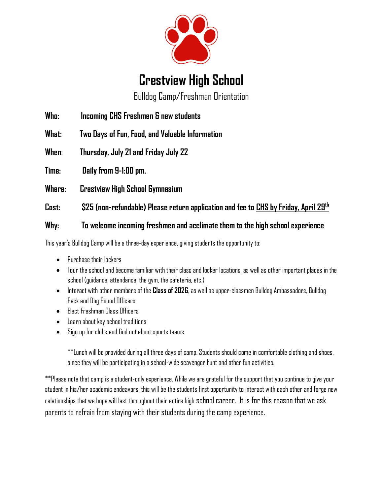

## **Crestview High School**

Bulldog Camp/Freshman Orientation

**Who: Incoming CHS Freshmen & new students**

**What: Two Days of Fun, Food, and Valuable Information**

**When**: **Thursday, July 21 and Friday July 22**

**Time: Daily from 9-1:00 pm.** 

**Where: Crestview High School Gymnasium** 

**Cost: \$25 (non-refundable) Please return application and fee to CHS by Friday, April 29th**

## **Why: To welcome incoming freshmen and acclimate them to the high school experience**

This year's Bulldog Camp will be a three-day experience, giving students the opportunity to:

- Purchase their lockers
- Tour the school and become familiar with their class and locker locations, as well as other important places in the school (guidance, attendance, the gym, the cafeteria, etc.)
- Interact with other members of the **Class of 2026**, as well as upper-classmen Bulldog Ambassadors, Bulldog Pack and Dog Pound Officers
- Elect Freshman Class Officers
- Learn about key school traditions
- Sign up for clubs and find out about sports teams

\*\*Lunch will be provided during all three days of camp. Students should come in comfortable clothing and shoes, since they will be participating in a school-wide scavenger hunt and other fun activities.

\*\*Please note that camp is a student-only experience. While we are grateful for the support that you continue to give your student in his/her academic endeavors, this will be the students first opportunity to interact with each other and forge new relationships that we hope will last throughout their entire high school career. It is for this reason that we ask parents to refrain from staying with their students during the camp experience.